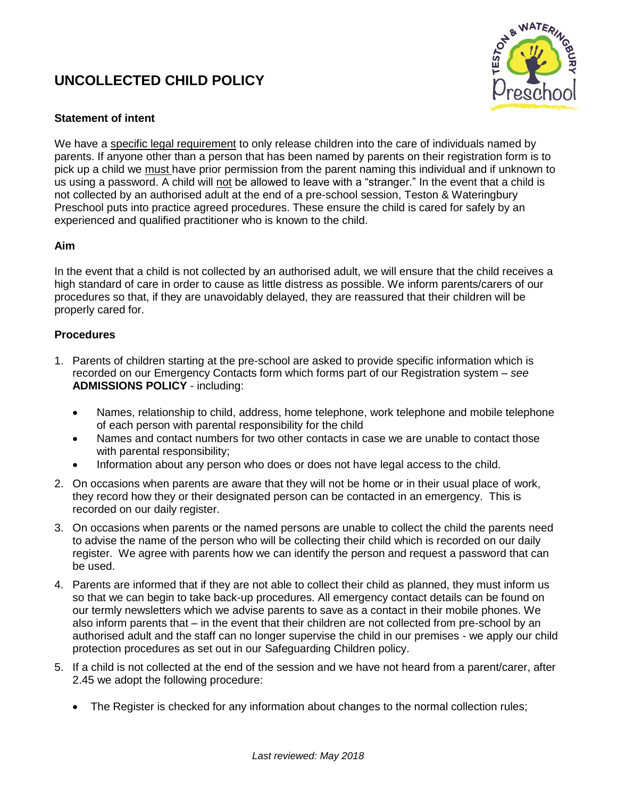# **UNCOLLECTED CHILD POLICY**



## **Statement of intent**

We have a specific legal requirement to only release children into the care of individuals named by parents. If anyone other than a person that has been named by parents on their registration form is to pick up a child we must have prior permission from the parent naming this individual and if unknown to us using a password. A child will not be allowed to leave with a "stranger." In the event that a child is not collected by an authorised adult at the end of a pre-school session, Teston & Wateringbury Preschool puts into practice agreed procedures. These ensure the child is cared for safely by an experienced and qualified practitioner who is known to the child.

### **Aim**

In the event that a child is not collected by an authorised adult, we will ensure that the child receives a high standard of care in order to cause as little distress as possible. We inform parents/carers of our procedures so that, if they are unavoidably delayed, they are reassured that their children will be properly cared for.

### **Procedures**

- 1. Parents of children starting at the pre-school are asked to provide specific information which is recorded on our Emergency Contacts form which forms part of our Registration system – *see* **ADMISSIONS POLICY** - including:
	- Names, relationship to child, address, home telephone, work telephone and mobile telephone of each person with parental responsibility for the child
	- Names and contact numbers for two other contacts in case we are unable to contact those with parental responsibility;
	- Information about any person who does or does not have legal access to the child.
- 2. On occasions when parents are aware that they will not be home or in their usual place of work, they record how they or their designated person can be contacted in an emergency. This is recorded on our daily register.
- 3. On occasions when parents or the named persons are unable to collect the child the parents need to advise the name of the person who will be collecting their child which is recorded on our daily register. We agree with parents how we can identify the person and request a password that can be used.
- 4. Parents are informed that if they are not able to collect their child as planned, they must inform us so that we can begin to take back-up procedures. All emergency contact details can be found on our termly newsletters which we advise parents to save as a contact in their mobile phones. We also inform parents that – in the event that their children are not collected from pre-school by an authorised adult and the staff can no longer supervise the child in our premises - we apply our child protection procedures as set out in our Safeguarding Children policy.
- 5. If a child is not collected at the end of the session and we have not heard from a parent/carer, after 2.45 we adopt the following procedure:
	- The Register is checked for any information about changes to the normal collection rules;